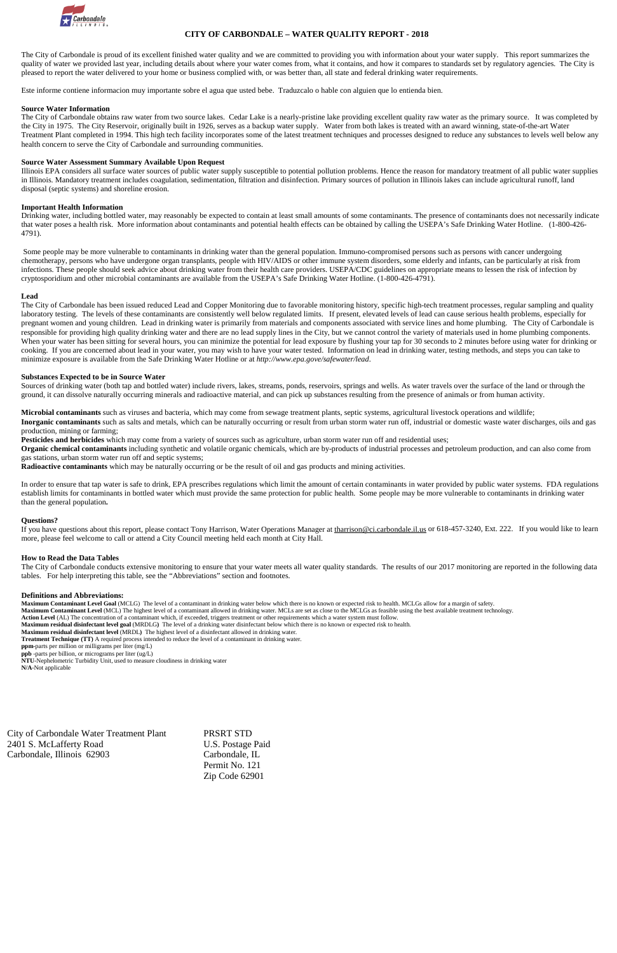

## **CITY OF CARBONDALE – WATER QUALITY REPORT - <sup>2018</sup>**

The City of Carbondale is proud of its excellent finished water quality and we are committed to providing you with information about your water supply. This report summarizes the quality of water we provided last year, including details about where your water comes from, what it contains, and how it compares to standards set by regulatory agencies. The City is pleased to report the water delivered to your home or business complied with, or was better than, all state and federal drinking water requirements.

Este informe contiene informacion muy importante sobre el agua que usted bebe. Traduzcalo o hable con alguien que lo entienda bien.

## **Source Water Information**

The City of Carbondale obtains raw water from two source lakes. Cedar Lake is a nearly-pristine lake providing excellent quality raw water as the primary source. It was completed by the City in 1975. The City Reservoir, originally built in 1926, serves as a backup water supply. Water from both lakes is treated with an award winning, state-of-the-art Water Treatment Plant completed in 1994. This high tech facility incorporates some of the latest treatment techniques and processes designed to reduce any substances to levels well below any health concern to serve the City of Carbondale and surrounding communities.

### **Source Water Assessment Summary Available Upon Request**

Illinois EPA considers all surface water sources of public water supply susceptible to potential pollution problems. Hence the reason for mandatory treatment of all public water supplies in Illinois. Mandatory treatment includes coagulation, sedimentation, filtration and disinfection. Primary sources of pollution in Illinois lakes can include agricultural runoff, land disposal (septic systems) and shoreline erosion.

#### **Important Health Information**

The City of Carbondale has been issued reduced Lead and Copper Monitoring due to favorable monitoring history, specific high-tech treatment processes, regular sampling and quality laboratory testing. The levels of these contaminants are consistently well below regulated limits. If present, elevated levels of lead can cause serious health problems, especially for pregnant women and young children. Lead in drinking water is primarily from materials and components associated with service lines and home plumbing. The City of Carbondale is responsible for providing high quality drinking water and there are no lead supply lines in the City, but we cannot control the variety of materials used in home plumbing components. When your water has been sitting for several hours, you can minimize the potential for lead exposure by flushing your tap for 30 seconds to 2 minutes before using water for drinking or cooking. If you are concerned about lead in your water, you may wish to have your water tested. Information on lead in drinking water, testing methods, and steps you can take to minimize exposure is available from the Safe Drinking Water Hotline or at *http://www.epa.gove/safewater/lead*.

Drinking water, including bottled water, may reasonably be expected to contain at least small amounts of some contaminants. The presence of contaminants does not necessarily indicate that water poses a health risk. More information about contaminants and potential health effects can be obtained by calling the USEPA's Safe Drinking Water Hotline. (1-800-426- 4791).

Sources of drinking water (both tap and bottled water) include rivers, lakes, streams, ponds, reservoirs, springs and wells. As water travels over the surface of the land or through the ground, it can dissolve naturally occurring minerals and radioactive material, and can pick up substances resulting from the presence of animals or from human activity.

Some people may be more vulnerable to contaminants in drinking water than the general population. Immuno-compromised persons such as persons with cancer undergoing chemotherapy, persons who have undergone organ transplants, people with HIV/AIDS or other immune system disorders, some elderly and infants, can be particularly at risk from infections. These people should seek advice about drinking water from their health care providers. USEPA/CDC guidelines on appropriate means to lessen the risk of infection by cryptosporidium and other microbial contaminants are available from the USEPA's Safe Drinking Water Hotline. (1-800-426-4791).

### **Lead**

If you have questions about this report, please contact Tony Harrison, Water Operations Manager at [tharrison@ci.carbondale.il.us](mailto:tharrison@ci.carbondale.il.us) or 618-457-3240, Ext. 222. If you would like to learn more, please feel welcome to call or attend a City Council meeting held each month at City Hall.

The City of Carbondale conducts extensive monitoring to ensure that your water meets all water quality standards. The results of our 2017 monitoring are reported in the following data tables. For help interpreting this table, see the "Abbreviations" section and footnotes.

#### **Substances Expected to be in Source Water**

**Microbial contaminants** such as viruses and bacteria, which may come from sewage treatment plants, septic systems, agricultural livestock operations and wildlife;

**Inorganic contaminants** such as salts and metals, which can be naturally occurring or result from urban storm water run off, industrial or domestic waste water discharges, oils and gas production, mining or farming;

**Pesticides and herbicides** which may come from a variety of sources such as agriculture, urban storm water run off and residential uses;

**Organic chemical contaminants** including synthetic and volatile organic chemicals, which are by-products of industrial processes and petroleum production, and can also come from gas stations, urban storm water run off and septic systems;

**Radioactive contaminants** which may be naturally occurring or be the result of oil and gas products and mining activities.

In order to ensure that tap water is safe to drink, EPA prescribes regulations which limit the amount of certain contaminants in water provided by public water systems. FDA regulations establish limits for contaminants in bottled water which must provide the same protection for public health. Some people may be more vulnerable to contaminants in drinking water than the general population**.**

#### **Questions?**

#### **How to Read the Data Tables**

#### **Definitions and Abbreviations:**

**Maximum Contaminant Level Goal** (MCLG) The level of a contaminant in drinking water below which there is no known or expected risk to health. MCLGs allow for a margin of safety.

**Maximum Contaminant Level** (MCL) The highest level of a contaminant allowed in drinking water. MCLs are set as close to the MCLGs as feasible using the best available treatment technology.

**Action Level** (AL) The concentration of a contaminant which, if exceeded, triggers treatment or other requirements which a water system must follow.

**Maximum residual disinfectant level goal** (MRDLG**)** The level of a drinking water disinfectant below which there is no known or expected risk to health.

**Maximum residual disinfectant level** (MRDL**)** The highest level of a disinfectant allowed in drinking water.

**Treatment Technique (TT)** A required process intended to reduce the level of a contaminant in drinking water.

**ppm**-parts per million or milligrams per liter (mg/L)

**ppb** -parts per billion, or micrograms per liter (ug/L)

**NTU**-Nephelometric Turbidity Unit, used to measure cloudiness in drinking water **N/A**-Not applicable

City of Carbondale Water Treatment Plant PRSRT STD 2401 S. McLafferty Road U.S. Postage Paid Carbondale, Illinois 62903 Carbondale, IL

Permit No. 121 Zip Code 62901